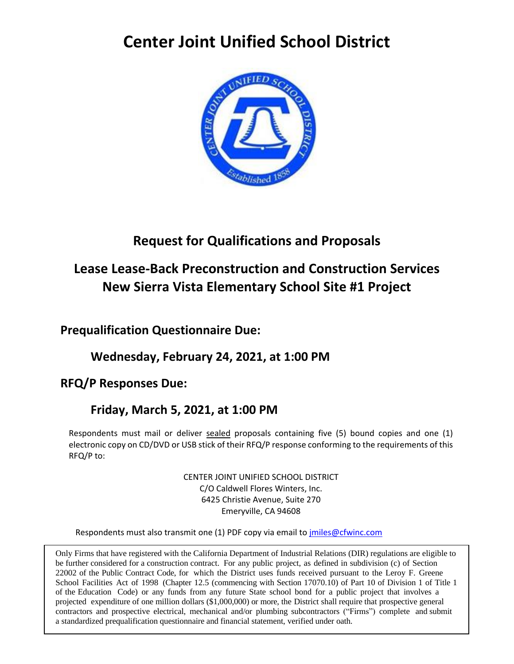### **Center Joint Unified School District**



### **Request for Qualifications and Proposals**

### **Lease Lease-Back Preconstruction and Construction Services New Sierra Vista Elementary School Site #1 Project**

**Prequalification Questionnaire Due:** 

**Wednesday, February 24, 2021, at 1:00 PM**

**RFQ/P Responses Due:** 

### **Friday, March 5, 2021, at 1:00 PM**

Respondents must mail or deliver sealed proposals containing five (5) bound copies and one (1) electronic copy on CD/DVD or USB stick of their RFQ/P response conforming to the requirements of this RFQ/P to:

> CENTER JOINT UNIFIED SCHOOL DISTRICT C/O Caldwell Flores Winters, Inc. 6425 Christie Avenue, Suite 270 Emeryville, CA 94608

Respondents must also transmit one (1) PDF copy via email to [jmiles@cfwinc.com](mailto:jmiles@cfwinc.com)

Only Firms that have registered with the California Department of Industrial Relations (DIR) regulations are eligible to be further considered for a construction contract. For any public project, as defined in subdivision (c) of Section 22002 of the Public Contract Code, for which the District uses funds received pursuant to the Leroy F. Greene School Facilities Act of 1998 (Chapter 12.5 (commencing with Section 17070.10) of Part 10 of Division 1 of Title 1 of the Education Code) or any funds from any future State school bond for a public project that involves a projected expenditure of one million dollars (\$1,000,000) or more, the District shall require that prospective general contractors and prospective electrical, mechanical and/or plumbing subcontractors ("Firms") complete and submit a standardized prequalification questionnaire and financial statement, verified under oath.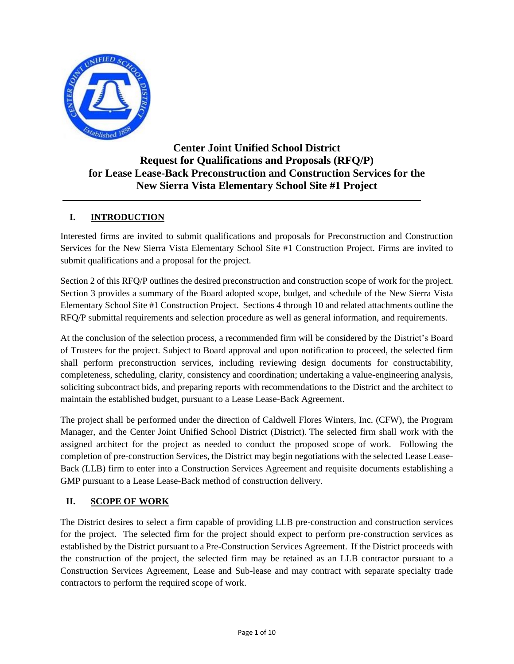

#### **Center Joint Unified School District Request for Qualifications and Proposals (RFQ/P) for Lease Lease-Back Preconstruction and Construction Services for the New Sierra Vista Elementary School Site #1 Project**

#### **I. INTRODUCTION**

Interested firms are invited to submit qualifications and proposals for Preconstruction and Construction Services for the New Sierra Vista Elementary School Site #1 Construction Project. Firms are invited to submit qualifications and a proposal for the project.

Section 2 of this RFQ/P outlines the desired preconstruction and construction scope of work for the project. Section 3 provides a summary of the Board adopted scope, budget, and schedule of the New Sierra Vista Elementary School Site #1 Construction Project. Sections 4 through 10 and related attachments outline the RFQ/P submittal requirements and selection procedure as well as general information, and requirements.

At the conclusion of the selection process, a recommended firm will be considered by the District's Board of Trustees for the project. Subject to Board approval and upon notification to proceed, the selected firm shall perform preconstruction services, including reviewing design documents for constructability, completeness, scheduling, clarity, consistency and coordination; undertaking a value-engineering analysis, soliciting subcontract bids, and preparing reports with recommendations to the District and the architect to maintain the established budget, pursuant to a Lease Lease-Back Agreement.

The project shall be performed under the direction of Caldwell Flores Winters, Inc. (CFW), the Program Manager, and the Center Joint Unified School District (District). The selected firm shall work with the assigned architect for the project as needed to conduct the proposed scope of work. Following the completion of pre-construction Services, the District may begin negotiations with the selected Lease Lease-Back (LLB) firm to enter into a Construction Services Agreement and requisite documents establishing a GMP pursuant to a Lease Lease-Back method of construction delivery.

#### **II. SCOPE OF WORK**

The District desires to select a firm capable of providing LLB pre-construction and construction services for the project. The selected firm for the project should expect to perform pre-construction services as established by the District pursuant to a Pre-Construction Services Agreement. If the District proceeds with the construction of the project, the selected firm may be retained as an LLB contractor pursuant to a Construction Services Agreement, Lease and Sub-lease and may contract with separate specialty trade contractors to perform the required scope of work.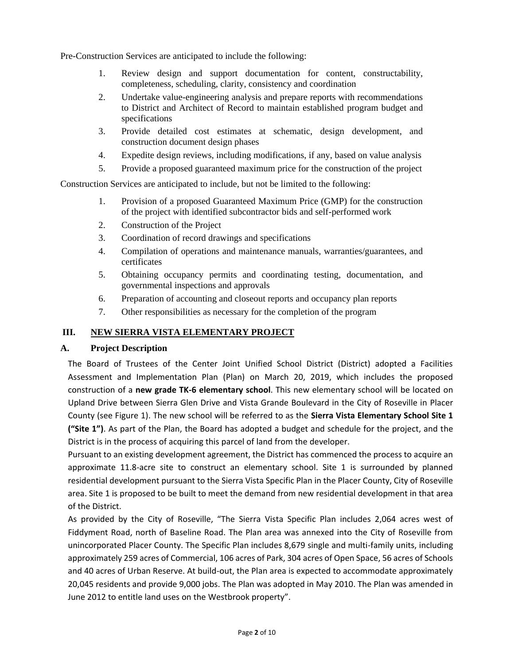Pre-Construction Services are anticipated to include the following:

- 1. Review design and support documentation for content, constructability, completeness, scheduling, clarity, consistency and coordination
- 2. Undertake value-engineering analysis and prepare reports with recommendations to District and Architect of Record to maintain established program budget and specifications
- 3. Provide detailed cost estimates at schematic, design development, and construction document design phases
- 4. Expedite design reviews, including modifications, if any, based on value analysis
- 5. Provide a proposed guaranteed maximum price for the construction of the project

Construction Services are anticipated to include, but not be limited to the following:

- 1. Provision of a proposed Guaranteed Maximum Price (GMP) for the construction of the project with identified subcontractor bids and self-performed work
- 2. Construction of the Project
- 3. Coordination of record drawings and specifications
- 4. Compilation of operations and maintenance manuals, warranties/guarantees, and certificates
- 5. Obtaining occupancy permits and coordinating testing, documentation, and governmental inspections and approvals
- 6. Preparation of accounting and closeout reports and occupancy plan reports
- 7. Other responsibilities as necessary for the completion of the program

#### **III. NEW SIERRA VISTA ELEMENTARY PROJECT**

#### **A. Project Description**

The Board of Trustees of the Center Joint Unified School District (District) adopted a Facilities Assessment and Implementation Plan (Plan) on March 20, 2019, which includes the proposed construction of a **new grade TK-6 elementary school**. This new elementary school will be located on Upland Drive between Sierra Glen Drive and Vista Grande Boulevard in the City of Roseville in Placer County (see Figure 1). The new school will be referred to as the **Sierra Vista Elementary School Site 1 ("Site 1")**. As part of the Plan, the Board has adopted a budget and schedule for the project, and the District is in the process of acquiring this parcel of land from the developer.

Pursuant to an existing development agreement, the District has commenced the process to acquire an approximate 11.8-acre site to construct an elementary school. Site 1 is surrounded by planned residential development pursuant to the Sierra Vista Specific Plan in the Placer County, City of Roseville area. Site 1 is proposed to be built to meet the demand from new residential development in that area of the District.

As provided by the City of Roseville, "The Sierra Vista Specific Plan includes 2,064 acres west of Fiddyment Road, north of Baseline Road. The Plan area was annexed into the City of Roseville from unincorporated Placer County. The Specific Plan includes 8,679 single and multi-family units, including approximately 259 acres of Commercial, 106 acres of Park, 304 acres of Open Space, 56 acres of Schools and 40 acres of Urban Reserve. At build-out, the Plan area is expected to accommodate approximately 20,045 residents and provide 9,000 jobs. The Plan was adopted in May 2010. The Plan was amended in June 2012 to entitle land uses on the Westbrook property".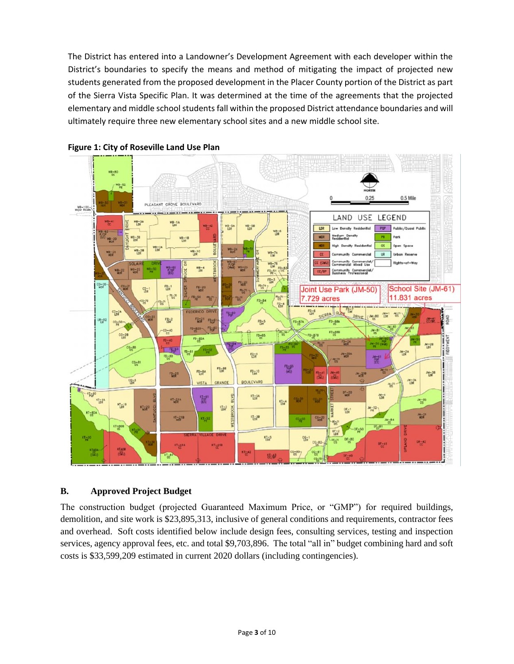The District has entered into a Landowner's Development Agreement with each developer within the District's boundaries to specify the means and method of mitigating the impact of projected new students generated from the proposed development in the Placer County portion of the District as part of the Sierra Vista Specific Plan. It was determined at the time of the agreements that the projected elementary and middle school students fall within the proposed District attendance boundaries and will ultimately require three new elementary school sites and a new middle school site.





#### **B. Approved Project Budget**

The construction budget (projected Guaranteed Maximum Price, or "GMP") for required buildings, demolition, and site work is \$23,895,313, inclusive of general conditions and requirements, contractor fees and overhead. Soft costs identified below include design fees, consulting services, testing and inspection services, agency approval fees, etc. and total \$9,703,896. The total "all in" budget combining hard and soft costs is \$33,599,209 estimated in current 2020 dollars (including contingencies).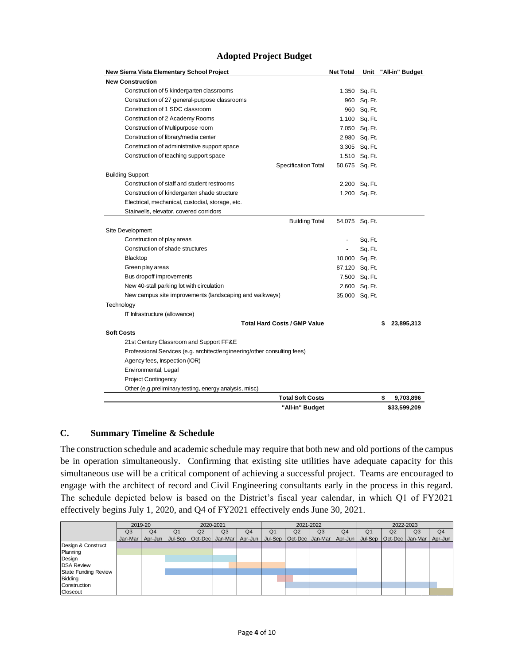| New Sierra Vista Elementary School Project                               | <b>Net Total</b> |                | Unit "All-in" Budget |
|--------------------------------------------------------------------------|------------------|----------------|----------------------|
| <b>New Construction</b>                                                  |                  |                |                      |
| Construction of 5 kindergarten classrooms                                |                  | 1,350 Sq. Ft.  |                      |
| Construction of 27 general-purpose classrooms                            |                  | 960 Sq. Ft.    |                      |
| Construction of 1 SDC classroom                                          |                  | 960 Sq. Ft.    |                      |
| Construction of 2 Academy Rooms                                          |                  | 1,100 Sq. Ft.  |                      |
| Construction of Multipurpose room                                        |                  | 7,050 Sq. Ft.  |                      |
| Construction of library/media center                                     |                  | 2,980 Sq. Ft.  |                      |
| Construction of administrative support space                             |                  | 3,305 Sq. Ft.  |                      |
| Construction of teaching support space                                   |                  | 1,510 Sq. Ft.  |                      |
| Specification Total                                                      |                  | 50,675 Sq. Ft. |                      |
| <b>Building Support</b>                                                  |                  |                |                      |
| Construction of staff and student restrooms                              |                  | 2,200 Sq. Ft.  |                      |
| Construction of kindergarten shade structure                             |                  | 1,200 Sq. Ft.  |                      |
| Electrical, mechanical, custodial, storage, etc.                         |                  |                |                      |
| Stairwells, elevator, covered corridors                                  |                  |                |                      |
| <b>Building Total</b>                                                    |                  | 54,075 Sq. Ft. |                      |
| Site Development                                                         |                  |                |                      |
| Construction of play areas                                               |                  | Sq. Ft.        |                      |
| Construction of shade structures                                         | ٠                | Sq. Ft.        |                      |
| Blacktop                                                                 |                  | 10,000 Sq. Ft. |                      |
| Green play areas                                                         | 87,120 Sq. Ft.   |                |                      |
| Bus dropoff improvements                                                 |                  | 7,500 Sq. Ft.  |                      |
| New 40-stall parking lot with circulation                                |                  | 2,600 Sq. Ft.  |                      |
| New campus site improvements (landscaping and walkways)                  |                  | 35,000 Sq. Ft. |                      |
| Technology                                                               |                  |                |                      |
| IT Infrastructure (allowance)                                            |                  |                |                      |
| <b>Total Hard Costs / GMP Value</b>                                      |                  |                | \$<br>23,895,313     |
| <b>Soft Costs</b>                                                        |                  |                |                      |
| 21st Century Classroom and Support FF&E                                  |                  |                |                      |
| Professional Services (e.g. architect/engineering/other consulting fees) |                  |                |                      |
| Agency fees, Inspection (IOR)                                            |                  |                |                      |
| Environmental, Legal                                                     |                  |                |                      |
| <b>Project Contingency</b>                                               |                  |                |                      |
| Other (e.g.preliminary testing, energy analysis, misc)                   |                  |                |                      |
| <b>Total Soft Costs</b>                                                  |                  |                | \$<br>9,703,896      |
| "All-in" Budget                                                          |                  |                | \$33,599,209         |

#### **Adopted Project Budget**

#### **C. Summary Timeline & Schedule**

The construction schedule and academic schedule may require that both new and old portions of the campus be in operation simultaneously. Confirming that existing site utilities have adequate capacity for this simultaneous use will be a critical component of achieving a successful project. Teams are encouraged to engage with the architect of record and Civil Engineering consultants early in the process in this regard. The schedule depicted below is based on the District's fiscal year calendar, in which Q1 of FY2021 effectively begins July 1, 2020, and Q4 of FY2021 effectively ends June 30, 2021.

|                             |                | 2019-20        | 2020-2021      |    |                             | 2021-2022      |                |                             | 2022-2023      |                |                |                                       |                |                |
|-----------------------------|----------------|----------------|----------------|----|-----------------------------|----------------|----------------|-----------------------------|----------------|----------------|----------------|---------------------------------------|----------------|----------------|
|                             | Q <sub>3</sub> | Q <sub>4</sub> | Q <sub>1</sub> | Q2 | Q3                          | Q <sub>4</sub> | Q <sub>1</sub> | Q2                          | Q <sub>3</sub> | Q <sub>4</sub> | Q <sub>1</sub> | Q2                                    | Q <sub>3</sub> | Q <sub>4</sub> |
|                             | Jan-Mar I      | $Apr-Jun$      |                |    | Jul-Sep   Oct-Dec   Jan-Mar | Apr-Jun        |                | Jul-Sep   Oct-Dec   Jan-Mar |                |                |                | Apr-Jun   Jul-Sep   Oct-Dec   Jan-Mar |                | Apr-Jun        |
| Design & Construct          |                |                |                |    |                             |                |                |                             |                |                |                |                                       |                |                |
| Planning                    |                |                |                |    |                             |                |                |                             |                |                |                |                                       |                |                |
| Design                      |                |                |                |    |                             |                |                |                             |                |                |                |                                       |                |                |
| <b>DSA Review</b>           |                |                |                |    |                             |                |                |                             |                |                |                |                                       |                |                |
| <b>State Funding Review</b> |                |                |                |    |                             |                |                |                             |                |                |                |                                       |                |                |
| <b>Bidding</b>              |                |                |                |    |                             |                |                |                             |                |                |                |                                       |                |                |
| Construction                |                |                |                |    |                             |                |                |                             |                |                |                |                                       |                |                |
| Closeout                    |                |                |                |    |                             |                |                |                             |                |                |                |                                       |                |                |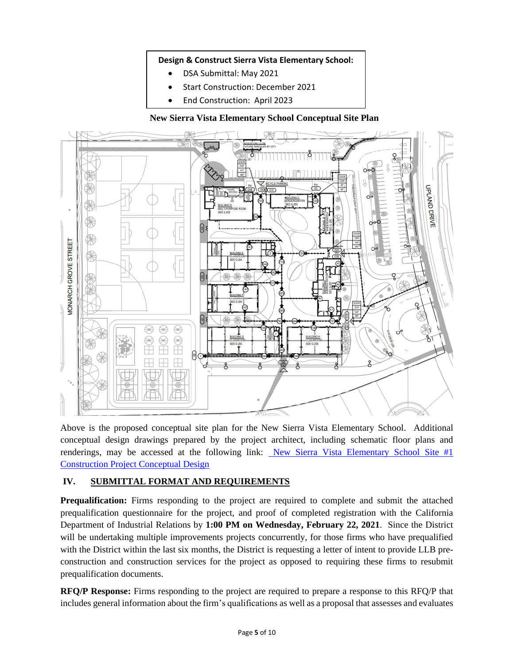#### **Design & Construct Sierra Vista Elementary School:**

- DSA Submittal: May 2021
- Start Construction: December 2021
- End Construction: April 2023

**New Sierra Vista Elementary School Conceptual Site Plan**



Above is the proposed conceptual site plan for the New Sierra Vista Elementary School. Additional conceptual design drawings prepared by the project architect, including schematic floor plans and renderings, may be accessed at the following link: New Sierra Vista [Elementary School Site #1](https://www.dropbox.com/s/rh6y4w04itzabli/2020-12-22%20CJUSD%20Sierra%20Vista%2075%25%20DD_FULL%20PACKAGE.pdf?dl=0) [Construction Project Conceptual Design](https://www.dropbox.com/s/rh6y4w04itzabli/2020-12-22%20CJUSD%20Sierra%20Vista%2075%25%20DD_FULL%20PACKAGE.pdf?dl=0)

#### **IV. SUBMITTAL FORMAT AND REQUIREMENTS**

**Prequalification:** Firms responding to the project are required to complete and submit the attached prequalification questionnaire for the project, and proof of completed registration with the California Department of Industrial Relations by **1:00 PM on Wednesday, February 22, 2021**. Since the District will be undertaking multiple improvements projects concurrently, for those firms who have prequalified with the District within the last six months, the District is requesting a letter of intent to provide LLB preconstruction and construction services for the project as opposed to requiring these firms to resubmit prequalification documents.

**RFQ/P Response:** Firms responding to the project are required to prepare a response to this RFQ/P that includes general information about the firm's qualifications as well as a proposal that assesses and evaluates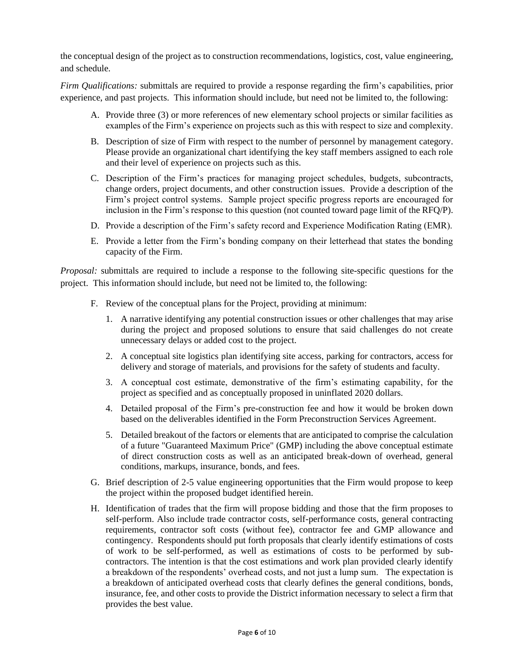the conceptual design of the project as to construction recommendations, logistics, cost, value engineering, and schedule.

*Firm Qualifications:* submittals are required to provide a response regarding the firm's capabilities, prior experience, and past projects. This information should include, but need not be limited to, the following:

- A. Provide three (3) or more references of new elementary school projects or similar facilities as examples of the Firm's experience on projects such as this with respect to size and complexity.
- B. Description of size of Firm with respect to the number of personnel by management category. Please provide an organizational chart identifying the key staff members assigned to each role and their level of experience on projects such as this.
- C. Description of the Firm's practices for managing project schedules, budgets, subcontracts, change orders, project documents, and other construction issues. Provide a description of the Firm's project control systems. Sample project specific progress reports are encouraged for inclusion in the Firm's response to this question (not counted toward page limit of the RFQ/P).
- D. Provide a description of the Firm's safety record and Experience Modification Rating (EMR).
- E. Provide a letter from the Firm's bonding company on their letterhead that states the bonding capacity of the Firm.

*Proposal:* submittals are required to include a response to the following site-specific questions for the project. This information should include, but need not be limited to, the following:

- F. Review of the conceptual plans for the Project, providing at minimum:
	- 1. A narrative identifying any potential construction issues or other challenges that may arise during the project and proposed solutions to ensure that said challenges do not create unnecessary delays or added cost to the project.
	- 2. A conceptual site logistics plan identifying site access, parking for contractors, access for delivery and storage of materials, and provisions for the safety of students and faculty.
	- 3. A conceptual cost estimate, demonstrative of the firm's estimating capability, for the project as specified and as conceptually proposed in uninflated 2020 dollars.
	- 4. Detailed proposal of the Firm's pre-construction fee and how it would be broken down based on the deliverables identified in the Form Preconstruction Services Agreement.
	- 5. Detailed breakout of the factors or elements that are anticipated to comprise the calculation of a future "Guaranteed Maximum Price" (GMP) including the above conceptual estimate of direct construction costs as well as an anticipated break-down of overhead, general conditions, markups, insurance, bonds, and fees.
- G. Brief description of 2-5 value engineering opportunities that the Firm would propose to keep the project within the proposed budget identified herein.
- H. Identification of trades that the firm will propose bidding and those that the firm proposes to self-perform. Also include trade contractor costs, self-performance costs, general contracting requirements, contractor soft costs (without fee), contractor fee and GMP allowance and contingency. Respondents should put forth proposals that clearly identify estimations of costs of work to be self-performed, as well as estimations of costs to be performed by subcontractors. The intention is that the cost estimations and work plan provided clearly identify a breakdown of the respondents' overhead costs, and not just a lump sum. The expectation is a breakdown of anticipated overhead costs that clearly defines the general conditions, bonds, insurance, fee, and other costs to provide the District information necessary to select a firm that provides the best value.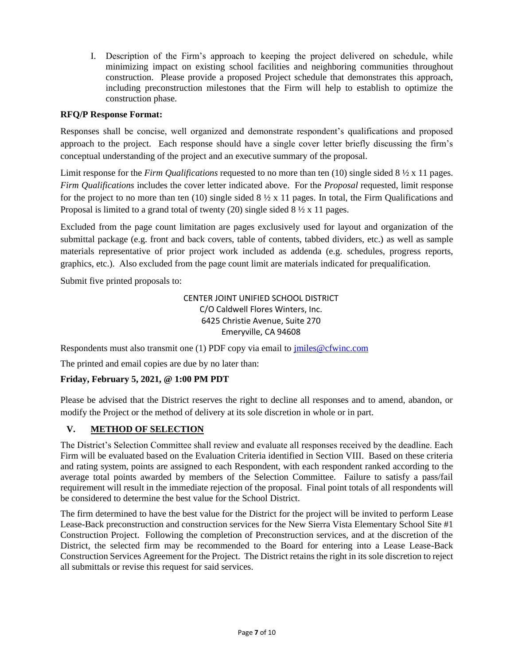I. Description of the Firm's approach to keeping the project delivered on schedule, while minimizing impact on existing school facilities and neighboring communities throughout construction. Please provide a proposed Project schedule that demonstrates this approach, including preconstruction milestones that the Firm will help to establish to optimize the construction phase.

#### **RFQ/P Response Format:**

Responses shall be concise, well organized and demonstrate respondent's qualifications and proposed approach to the project. Each response should have a single cover letter briefly discussing the firm's conceptual understanding of the project and an executive summary of the proposal.

Limit response for the *Firm Qualifications* requested to no more than ten (10) single sided 8 ½ x 11 pages. *Firm Qualifications* includes the cover letter indicated above. For the *Proposal* requested, limit response for the project to no more than ten (10) single sided  $8\frac{1}{2} \times 11$  pages. In total, the Firm Qualifications and Proposal is limited to a grand total of twenty (20) single sided  $8\frac{1}{2} \times 11$  pages.

Excluded from the page count limitation are pages exclusively used for layout and organization of the submittal package (e.g. front and back covers, table of contents, tabbed dividers, etc.) as well as sample materials representative of prior project work included as addenda (e.g. schedules, progress reports, graphics, etc.). Also excluded from the page count limit are materials indicated for prequalification.

Submit five printed proposals to:

CENTER JOINT UNIFIED SCHOOL DISTRICT C/O Caldwell Flores Winters, Inc. 6425 Christie Avenue, Suite 270 Emeryville, CA 94608

Respondents must also transmit one (1) PDF copy via email to [jmiles@cfwinc.com](mailto:jmiles@cfwinc.com)

The printed and email copies are due by no later than:

#### **Friday, February 5, 2021, @ 1:00 PM PDT**

Please be advised that the District reserves the right to decline all responses and to amend, abandon, or modify the Project or the method of delivery at its sole discretion in whole or in part.

#### **V. METHOD OF SELECTION**

The District's Selection Committee shall review and evaluate all responses received by the deadline. Each Firm will be evaluated based on the Evaluation Criteria identified in Section VIII. Based on these criteria and rating system, points are assigned to each Respondent, with each respondent ranked according to the average total points awarded by members of the Selection Committee. Failure to satisfy a pass/fail requirement will result in the immediate rejection of the proposal. Final point totals of all respondents will be considered to determine the best value for the School District.

The firm determined to have the best value for the District for the project will be invited to perform Lease Lease-Back preconstruction and construction services for the New Sierra Vista Elementary School Site #1 Construction Project. Following the completion of Preconstruction services, and at the discretion of the District, the selected firm may be recommended to the Board for entering into a Lease Lease-Back Construction Services Agreement for the Project. The District retains the right in its sole discretion to reject all submittals or revise this request for said services.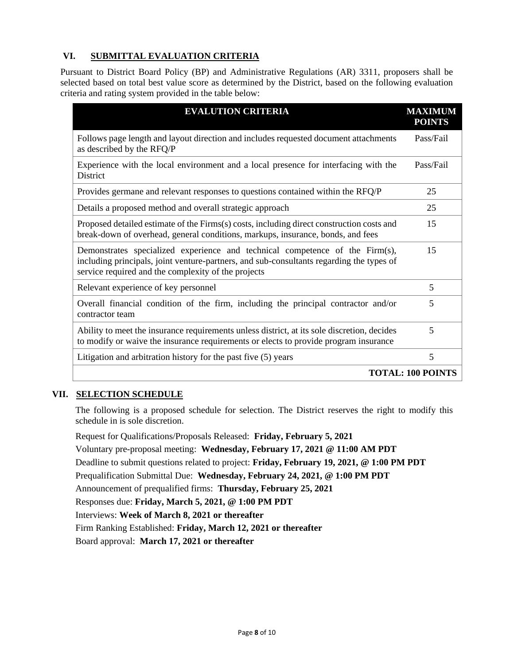#### **VI. SUBMITTAL EVALUATION CRITERIA**

Pursuant to District Board Policy (BP) and Administrative Regulations (AR) 3311, proposers shall be selected based on total best value score as determined by the District, based on the following evaluation criteria and rating system provided in the table below:

| <b>EVALUTION CRITERIA</b>                                                                                                                                                                                                       | <b>MAXIMUM</b><br><b>POINTS</b> |  |  |  |  |
|---------------------------------------------------------------------------------------------------------------------------------------------------------------------------------------------------------------------------------|---------------------------------|--|--|--|--|
| Follows page length and layout direction and includes requested document attachments<br>as described by the RFQ/P                                                                                                               | Pass/Fail                       |  |  |  |  |
| Experience with the local environment and a local presence for interfacing with the<br>District                                                                                                                                 | Pass/Fail                       |  |  |  |  |
| Provides germane and relevant responses to questions contained within the RFQ/P                                                                                                                                                 | 25                              |  |  |  |  |
| Details a proposed method and overall strategic approach                                                                                                                                                                        | 25                              |  |  |  |  |
| Proposed detailed estimate of the Firms(s) costs, including direct construction costs and<br>break-down of overhead, general conditions, markups, insurance, bonds, and fees                                                    | 15                              |  |  |  |  |
| Demonstrates specialized experience and technical competence of the Firm(s),<br>including principals, joint venture-partners, and sub-consultants regarding the types of<br>service required and the complexity of the projects | 15                              |  |  |  |  |
| Relevant experience of key personnel                                                                                                                                                                                            | 5                               |  |  |  |  |
| Overall financial condition of the firm, including the principal contractor and/or<br>contractor team                                                                                                                           | 5                               |  |  |  |  |
| Ability to meet the insurance requirements unless district, at its sole discretion, decides<br>to modify or waive the insurance requirements or elects to provide program insurance                                             | 5                               |  |  |  |  |
| Litigation and arbitration history for the past five (5) years                                                                                                                                                                  | 5                               |  |  |  |  |
| <b>TOTAL: 100 POINTS</b>                                                                                                                                                                                                        |                                 |  |  |  |  |

#### **VII. SELECTION SCHEDULE**

The following is a proposed schedule for selection. The District reserves the right to modify this schedule in is sole discretion.

Request for Qualifications/Proposals Released: **Friday, February 5, 2021** Voluntary pre-proposal meeting: **Wednesday, February 17, 2021 @ 11:00 AM PDT** Deadline to submit questions related to project: **Friday, February 19, 2021, @ 1:00 PM PDT** Prequalification Submittal Due: **Wednesday, February 24, 2021, @ 1:00 PM PDT** Announcement of prequalified firms: **Thursday, February 25, 2021** Responses due: **Friday, March 5, 2021, @ 1:00 PM PDT** Interviews: **Week of March 8, 2021 or thereafter** Firm Ranking Established: **Friday, March 12, 2021 or thereafter** Board approval: **March 17, 2021 or thereafter**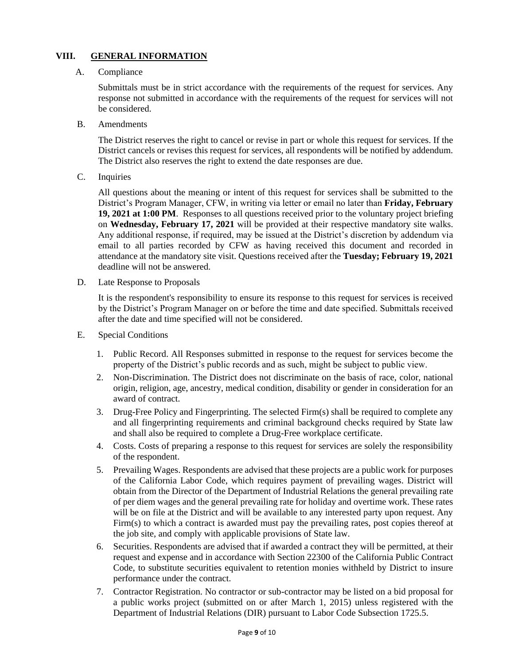#### **VIII. GENERAL INFORMATION**

#### A. Compliance

Submittals must be in strict accordance with the requirements of the request for services. Any response not submitted in accordance with the requirements of the request for services will not be considered.

B. Amendments

The District reserves the right to cancel or revise in part or whole this request for services. If the District cancels or revises this request for services, all respondents will be notified by addendum. The District also reserves the right to extend the date responses are due.

C. Inquiries

All questions about the meaning or intent of this request for services shall be submitted to the District's Program Manager, CFW, in writing via letter or email no later than **Friday, February 19, 2021 at 1:00 PM**. Responses to all questions received prior to the voluntary project briefing on **Wednesday, February 17, 2021** will be provided at their respective mandatory site walks. Any additional response, if required, may be issued at the District's discretion by addendum via email to all parties recorded by CFW as having received this document and recorded in attendance at the mandatory site visit. Questions received after the **Tuesday; February 19, 2021** deadline will not be answered.

D. Late Response to Proposals

It is the respondent's responsibility to ensure its response to this request for services is received by the District's Program Manager on or before the time and date specified. Submittals received after the date and time specified will not be considered.

- E. Special Conditions
	- 1. Public Record. All Responses submitted in response to the request for services become the property of the District's public records and as such, might be subject to public view.
	- 2. Non-Discrimination. The District does not discriminate on the basis of race, color, national origin, religion, age, ancestry, medical condition, disability or gender in consideration for an award of contract.
	- 3. Drug-Free Policy and Fingerprinting. The selected Firm(s) shall be required to complete any and all fingerprinting requirements and criminal background checks required by State law and shall also be required to complete a Drug-Free workplace certificate.
	- 4. Costs. Costs of preparing a response to this request for services are solely the responsibility of the respondent.
	- 5. Prevailing Wages. Respondents are advised that these projects are a public work for purposes of the California Labor Code, which requires payment of prevailing wages. District will obtain from the Director of the Department of Industrial Relations the general prevailing rate of per diem wages and the general prevailing rate for holiday and overtime work. These rates will be on file at the District and will be available to any interested party upon request. Any Firm(s) to which a contract is awarded must pay the prevailing rates, post copies thereof at the job site, and comply with applicable provisions of State law.
	- 6. Securities. Respondents are advised that if awarded a contract they will be permitted, at their request and expense and in accordance with Section 22300 of the California Public Contract Code, to substitute securities equivalent to retention monies withheld by District to insure performance under the contract.
	- 7. Contractor Registration. No contractor or sub-contractor may be listed on a bid proposal for a public works project (submitted on or after March 1, 2015) unless registered with the Department of Industrial Relations (DIR) pursuant to Labor Code Subsection 1725.5.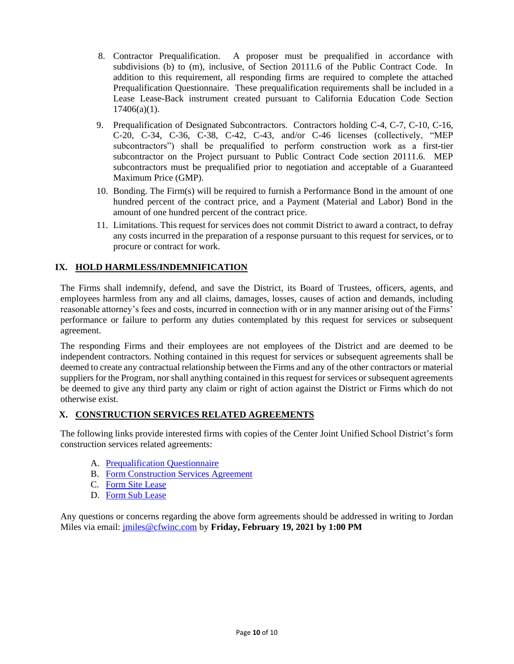- 8. Contractor Prequalification. A proposer must be prequalified in accordance with subdivisions (b) to (m), inclusive, of Section 20111.6 of the Public Contract Code. In addition to this requirement, all responding firms are required to complete the attached Prequalification Questionnaire. These prequalification requirements shall be included in a Lease Lease-Back instrument created pursuant to California Education Code Section  $17406(a)(1)$ .
- 9. Prequalification of Designated Subcontractors. Contractors holding C-4, C-7, C-10, C-16, C-20, C-34, C-36, C-38, C-42, C-43, and/or C-46 licenses (collectively, "MEP subcontractors") shall be prequalified to perform construction work as a first-tier subcontractor on the Project pursuant to Public Contract Code section 20111.6. MEP subcontractors must be prequalified prior to negotiation and acceptable of a Guaranteed Maximum Price (GMP).
- 10. Bonding. The Firm(s) will be required to furnish a Performance Bond in the amount of one hundred percent of the contract price, and a Payment (Material and Labor) Bond in the amount of one hundred percent of the contract price.
- 11. Limitations. This request for services does not commit District to award a contract, to defray any costs incurred in the preparation of a response pursuant to this request for services, or to procure or contract for work.

#### **IX. HOLD HARMLESS/INDEMNIFICATION**

The Firms shall indemnify, defend, and save the District, its Board of Trustees, officers, agents, and employees harmless from any and all claims, damages, losses, causes of action and demands, including reasonable attorney's fees and costs, incurred in connection with or in any manner arising out of the Firms' performance or failure to perform any duties contemplated by this request for services or subsequent agreement.

The responding Firms and their employees are not employees of the District and are deemed to be independent contractors. Nothing contained in this request for services or subsequent agreements shall be deemed to create any contractual relationship between the Firms and any of the other contractors or material suppliers for the Program, nor shall anything contained in this request for services or subsequent agreements be deemed to give any third party any claim or right of action against the District or Firms which do not otherwise exist.

#### **X. CONSTRUCTION SERVICES RELATED AGREEMENTS**

The following links provide interested firms with copies of the Center Joint Unified School District's form construction services related agreements:

- A. [Prequalification Questionnaire](https://www.dropbox.com/scl/fi/u5jnjszdyd1jankz81tzb/Attachment-A-Prequalification-Questionnaire.docx?dl=0&rlkey=o3p4pn9nfdqckbi144ad47zeu)
- B. [Form Construction Services Agreement](https://www.dropbox.com/scl/fi/1gysyahym08xsd7otx7m5/LLB-Construction-Services-Agreement_Sierra-Vista-ES_2020.12.18.docx?dl=0&rlkey=e5vgnfaxy22gfcp151eg9tw1k)
- C. [Form Site Lease](https://www.dropbox.com/scl/fi/bavlsfk5oc85o4uma2d1y/LLB-Site-Lease-_Sierra-Vista-ES_2020.12.18.docx?dl=0&rlkey=ukfj851lzun1fbt74pga561lx)
- D. [Form Sub Lease](https://www.dropbox.com/scl/fi/6h0h8mo8q9sozrw7suaal/LLB-Sublease-Sierra-ES_2020.12.18.docx?dl=0&rlkey=padu8jrw66pd8gt2864wwhz1o)

Any questions or concerns regarding the above form agreements should be addressed in writing to Jordan Miles via email: [jmiles@cfwinc.com](mailto:jmiles@cfwinc.com) by **Friday, February 19, 2021 by 1:00 PM**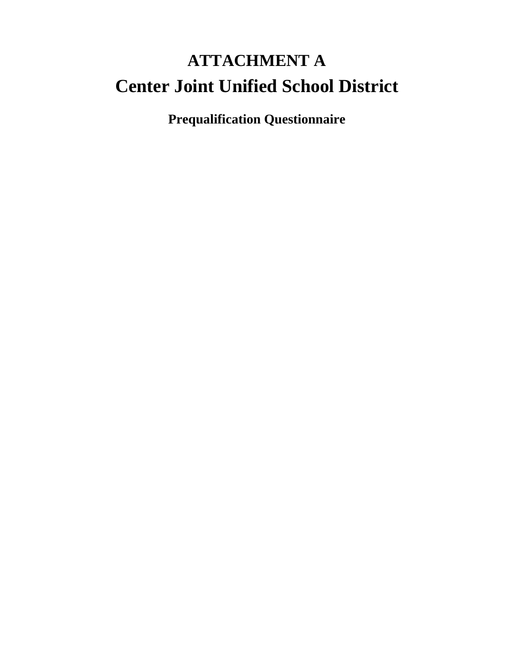# **ATTACHMENT A Center Joint Unified School District**

**Prequalification Questionnaire**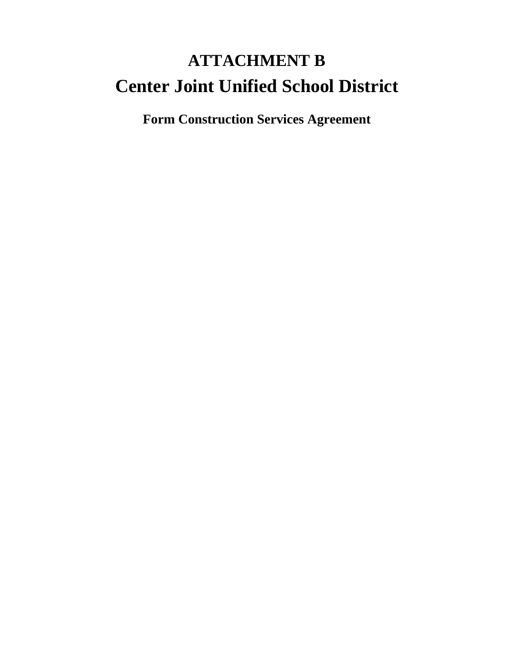# **ATTACHMENT B Center Joint Unified School District**

**Form Construction Services Agreement**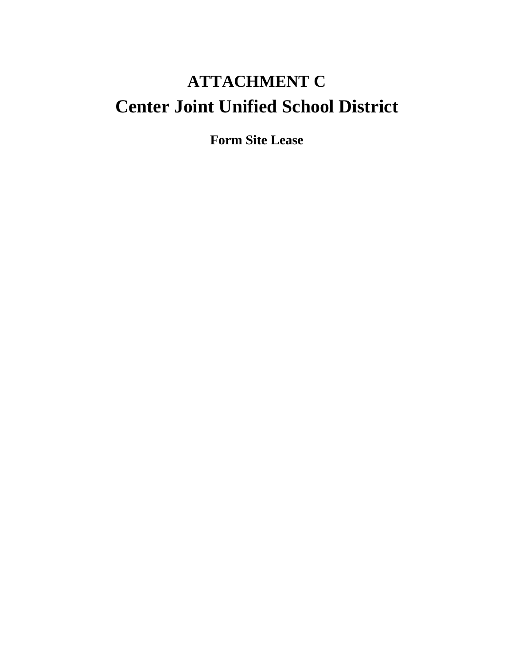### **ATTACHMENT C Center Joint Unified School District**

**Form Site Lease**